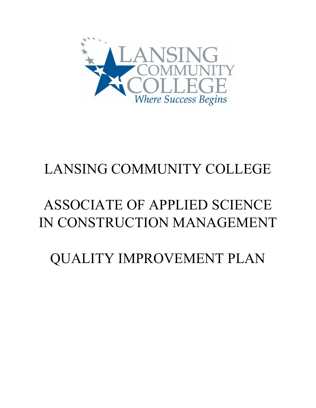

# LANSING COMMUNITY COLLEGE

# ASSOCIATE OF APPLIED SCIENCE IN CONSTRUCTION MANAGEMENT

QUALITY IMPROVEMENT PLAN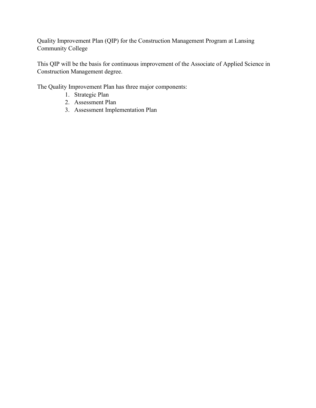Quality Improvement Plan (QIP) for the Construction Management Program at Lansing Community College

This QIP will be the basis for continuous improvement of the Associate of Applied Science in Construction Management degree.

The Quality Improvement Plan has three major components:

- 1. Strategic Plan
- 2. Assessment Plan
- 3. Assessment Implementation Plan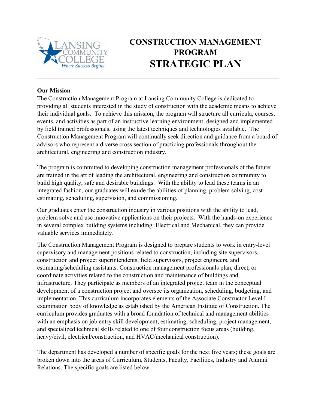

# **CONSTRUCTION MANAGEMENT PROGRAM STRATEGIC PLAN**

#### **Our Mission**

The Construction Management Program at Lansing Community College is dedicated to providing all students interested in the study of construction with the academic means to achieve their individual goals. To achieve this mission, the program will structure all curricula, courses, events, and activities as part of an instructive learning environment, designed and implemented by field trained professionals, using the latest techniques and technologies available. The Construction Management Program will continually seek direction and guidance from a board of advisors who represent a diverse cross section of practicing professionals throughout the architectural, engineering and construction industry.

The program is committed to developing construction management professionals of the future; are trained in the art of leading the architectural, engineering and construction community to build high quality, safe and desirable buildings. With the ability to lead these teams in an integrated fashion, our graduates will exude the abilities of planning, problem solving, cost estimating, scheduling, supervision, and commissioning.

Our graduates enter the construction industry in various positions with the ability to lead, problem solve and use innovative applications on their projects. With the hands-on experience in several complex building systems including: Electrical and Mechanical, they can provide valuable services immediately.

The Construction Management Program is designed to prepare students to work in entry-level supervisory and management positions related to construction, including site supervisors, construction and project superintendents, field supervisors, project engineers, and estimating/scheduling assistants. Construction management professionals plan, direct, or coordinate activities related to the construction and maintenance of buildings and infrastructure. They participate as members of an integrated project team in the conceptual development of a construction project and oversee its organization, scheduling, budgeting, and implementation. This curriculum incorporates elements of the Associate Constructor Level I examination body of knowledge as established by the American Institute of Construction. The curriculum provides graduates with a broad foundation of technical and management abilities with an emphasis on job entry skill development, estimating, scheduling, project management, and specialized technical skills related to one of four construction focus areas (building, heavy/civil, electrical/construction, and HVAC/mechanical construction).

The department has developed a number of specific goals for the next five years; these goals are broken down into the areas of Curriculum, Students, Faculty, Facilities, Industry and Alumni Relations. The specific goals are listed below: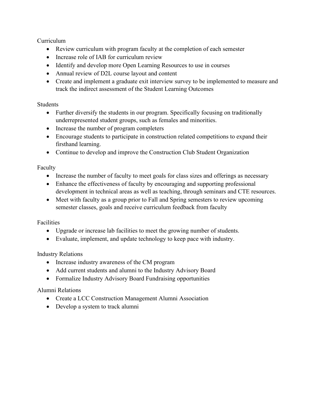Curriculum

- Review curriculum with program faculty at the completion of each semester
- Increase role of IAB for curriculum review
- Identify and develop more Open Learning Resources to use in courses
- Annual review of D2L course layout and content
- Create and implement a graduate exit interview survey to be implemented to measure and track the indirect assessment of the Student Learning Outcomes

#### Students

- Further diversify the students in our program. Specifically focusing on traditionally underrepresented student groups, such as females and minorities.
- Increase the number of program completers
- Encourage students to participate in construction related competitions to expand their firsthand learning.
- Continue to develop and improve the Construction Club Student Organization

#### Faculty

- Increase the number of faculty to meet goals for class sizes and offerings as necessary
- Enhance the effectiveness of faculty by encouraging and supporting professional development in technical areas as well as teaching, through seminars and CTE resources.
- Meet with faculty as a group prior to Fall and Spring semesters to review upcoming semester classes, goals and receive curriculum feedback from faculty

#### Facilities

- Upgrade or increase lab facilities to meet the growing number of students.
- Evaluate, implement, and update technology to keep pace with industry.

#### Industry Relations

- Increase industry awareness of the CM program
- Add current students and alumni to the Industry Advisory Board
- Formalize Industry Advisory Board Fundraising opportunities

#### Alumni Relations

- Create a LCC Construction Management Alumni Association
- Develop a system to track alumni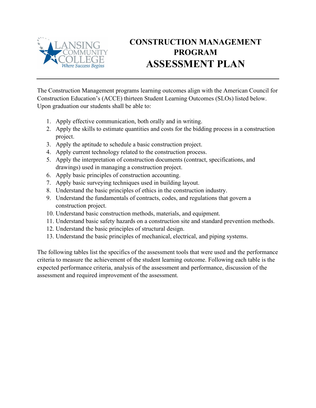

# **CONSTRUCTION MANAGEMENT PROGRAM ASSESSMENT PLAN**

The Construction Management programs learning outcomes align with the American Council for Construction Education's (ACCE) thirteen Student Learning Outcomes (SLOs) listed below. Upon graduation our students shall be able to:

- 1. Apply effective communication, both orally and in writing.
- 2. Apply the skills to estimate quantities and costs for the bidding process in a construction project.
- 3. Apply the aptitude to schedule a basic construction project.
- 4. Apply current technology related to the construction process.
- 5. Apply the interpretation of construction documents (contract, specifications, and drawings) used in managing a construction project.
- 6. Apply basic principles of construction accounting.
- 7. Apply basic surveying techniques used in building layout.
- 8. Understand the basic principles of ethics in the construction industry.
- 9. Understand the fundamentals of contracts, codes, and regulations that govern a construction project.
- 10. Understand basic construction methods, materials, and equipment.
- 11. Understand basic safety hazards on a construction site and standard prevention methods.
- 12. Understand the basic principles of structural design.
- 13. Understand the basic principles of mechanical, electrical, and piping systems.

The following tables list the specifics of the assessment tools that were used and the performance criteria to measure the achievement of the student learning outcome. Following each table is the expected performance criteria, analysis of the assessment and performance, discussion of the assessment and required improvement of the assessment.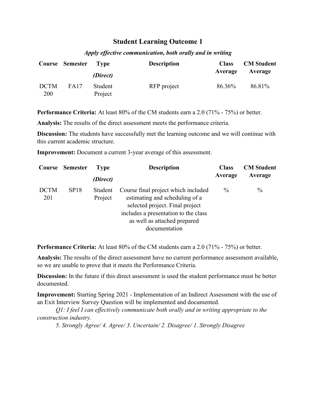#### *Apply effective communication, both orally and in writing*

|                           | Course Semester | T vpe                          | <b>Description</b> | <b>Class</b><br>Average | <b>CM</b> Student<br>Average |
|---------------------------|-----------------|--------------------------------|--------------------|-------------------------|------------------------------|
| <b>DCTM</b><br><b>200</b> | FA17            | (Direct)<br>Student<br>Project | RFP project        | 86.36%                  | 86.81%                       |

**Performance Criteria:** At least 80% of the CM students earn a 2.0 (71% - 75%) or better.

**Analysis:** The results of the direct assessment meets the performance criteria.

**Discussion:** The students have successfully met the learning outcome and we will continue with this current academic structure.

**Improvement:** Document a current 3-year average of this assessment.

|                    | Course Semester | <b>Type</b>        | <b>Description</b>                                                                                                                                                                                | <b>Class</b>  | <b>CM</b> Student |
|--------------------|-----------------|--------------------|---------------------------------------------------------------------------------------------------------------------------------------------------------------------------------------------------|---------------|-------------------|
|                    |                 | (Direct)           |                                                                                                                                                                                                   | Average       | Average           |
| <b>DCTM</b><br>201 | SP18            | Student<br>Project | Course final project which included<br>estimating and scheduling of a<br>selected project. Final project<br>includes a presentation to the class<br>as well as attached prepared<br>documentation | $\frac{0}{0}$ | $\%$              |

**Performance Criteria:** At least 80% of the CM students earn a 2.0 (71% - 75%) or better.

**Analysis:** The results of the direct assessment have no current performance assessment available, so we are unable to prove that it meets the Performance Criteria.

**Discussion:** In the future if this direct assessment is used the student performance must be better documented.

**Improvement:** Starting Spring 2021 - Implementation of an Indirect Assessment with the use of an Exit Interview Survey Question will be implemented and documented.

*Q1: I feel I can effectively communicate both orally and in writing appropriate to the construction industry.*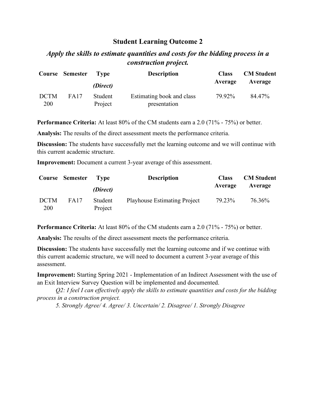# *Apply the skills to estimate quantities and costs for the bidding process in a construction project.*

|                    | <b>Course Semester</b> | 'Type<br>(Direct)  | <b>Description</b>                        | <b>Class</b><br>Average | <b>CM</b> Student<br>Average |
|--------------------|------------------------|--------------------|-------------------------------------------|-------------------------|------------------------------|
| <b>DCTM</b><br>200 | <b>FA17</b>            | Student<br>Project | Estimating book and class<br>presentation | 79.92%                  | 84.47%                       |

**Performance Criteria:** At least 80% of the CM students earn a 2.0 (71% - 75%) or better.

**Analysis:** The results of the direct assessment meets the performance criteria.

**Discussion:** The students have successfully met the learning outcome and we will continue with this current academic structure.

**Improvement:** Document a current 3-year average of this assessment.

|                    | <b>Course Semester</b> | Type<br>(Direct)   | <b>Description</b>                  | <b>Class</b><br>Average | <b>CM</b> Student<br>Average |
|--------------------|------------------------|--------------------|-------------------------------------|-------------------------|------------------------------|
| <b>DCTM</b><br>200 | FA17                   | Student<br>Project | <b>Playhouse Estimating Project</b> | 79.23%                  | 76.36%                       |

**Performance Criteria:** At least 80% of the CM students earn a 2.0 (71% - 75%) or better.

**Analysis:** The results of the direct assessment meets the performance criteria.

**Discussion:** The students have successfully met the learning outcome and if we continue with this current academic structure, we will need to document a current 3-year average of this assessment.

**Improvement:** Starting Spring 2021 - Implementation of an Indirect Assessment with the use of an Exit Interview Survey Question will be implemented and documented.

*Q2: I feel I can effectively apply the skills to estimate quantities and costs for the bidding process in a construction project.*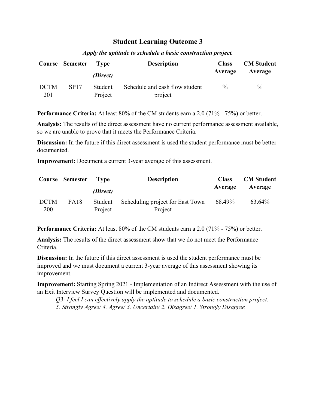|                    | <b>Course Semester</b> | T vpe<br>(Direct)  | <b>Description</b>                        | <b>Class</b><br>Average | <b>CM</b> Student<br>Average |
|--------------------|------------------------|--------------------|-------------------------------------------|-------------------------|------------------------------|
| <b>DCTM</b><br>201 | <b>SP17</b>            | Student<br>Project | Schedule and cash flow student<br>project | $\frac{0}{0}$           | $\frac{0}{0}$                |

*Apply the aptitude to schedule a basic construction project.*

**Performance Criteria:** At least 80% of the CM students earn a 2.0 (71% - 75%) or better.

**Analysis:** The results of the direct assessment have no current performance assessment available, so we are unable to prove that it meets the Performance Criteria.

**Discussion:** In the future if this direct assessment is used the student performance must be better documented.

**Improvement:** Document a current 3-year average of this assessment.

|                           | Course Semester | Tvpe)              | <b>Description</b>                          | <b>Class</b> | <b>CM</b> Student |
|---------------------------|-----------------|--------------------|---------------------------------------------|--------------|-------------------|
|                           |                 | (Direct)           |                                             | Average      | Average           |
| <b>DCTM</b><br><b>200</b> | <b>FA18</b>     | Student<br>Project | Scheduling project for East Town<br>Project | 68.49%       | 63.64%            |

**Performance Criteria:** At least 80% of the CM students earn a 2.0 (71% - 75%) or better.

**Analysis:** The results of the direct assessment show that we do not meet the Performance Criteria.

**Discussion:** In the future if this direct assessment is used the student performance must be improved and we must document a current 3-year average of this assessment showing its improvement.

**Improvement:** Starting Spring 2021 - Implementation of an Indirect Assessment with the use of an Exit Interview Survey Question will be implemented and documented.

*Q3: I feel I can effectively apply the aptitude to schedule a basic construction project. 5. Strongly Agree/ 4. Agree/ 3. Uncertain/ 2. Disagree/ 1. Strongly Disagree*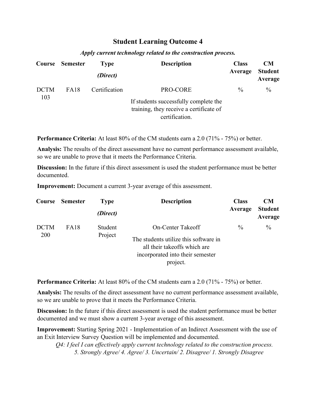|             | Course Semester | <b>Type</b><br>(Direct) | <b>Description</b>                                                                                 | <b>Class</b><br>Average | <b>CM</b><br><b>Student</b><br>Average |
|-------------|-----------------|-------------------------|----------------------------------------------------------------------------------------------------|-------------------------|----------------------------------------|
| <b>DCTM</b> | <b>FA18</b>     | Certification           | PRO-CORE                                                                                           | $\frac{0}{0}$           | $\frac{0}{0}$                          |
| 103         |                 |                         | If students successfully complete the<br>training, they receive a certificate of<br>certification. |                         |                                        |

#### *Apply current technology related to the construction process.*

**Performance Criteria:** At least 80% of the CM students earn a 2.0 (71% - 75%) or better.

**Analysis:** The results of the direct assessment have no current performance assessment available, so we are unable to prove that it meets the Performance Criteria.

**Discussion:** In the future if this direct assessment is used the student performance must be better documented.

**Improvement:** Document a current 3-year average of this assessment.

| Course      | Semester | <b>Type</b><br>(Direct) | <b>Description</b>                    | <b>Class</b><br>Average | <b>CM</b><br><b>Student</b> |
|-------------|----------|-------------------------|---------------------------------------|-------------------------|-----------------------------|
|             |          |                         |                                       |                         | Average                     |
| <b>DCTM</b> | FA18     | Student                 | On-Center Takeoff                     | $\frac{0}{0}$           | $\frac{0}{0}$               |
| 200         |          | Project                 | The students utilize this software in |                         |                             |
|             |          |                         | all their takeoffs which are          |                         |                             |
|             |          |                         | incorporated into their semester      |                         |                             |
|             |          |                         | project.                              |                         |                             |

**Performance Criteria:** At least 80% of the CM students earn a 2.0 (71% - 75%) or better.

**Analysis:** The results of the direct assessment have no current performance assessment available, so we are unable to prove that it meets the Performance Criteria.

**Discussion:** In the future if this direct assessment is used the student performance must be better documented and we must show a current 3-year average of this assessment.

**Improvement:** Starting Spring 2021 - Implementation of an Indirect Assessment with the use of an Exit Interview Survey Question will be implemented and documented.

*Q4: I feel I can effectively apply current technology related to the construction process. 5. Strongly Agree/ 4. Agree/ 3. Uncertain/ 2. Disagree/ 1. Strongly Disagree*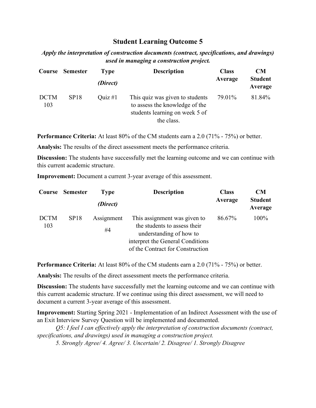*Apply the interpretation of construction documents (contract, specifications, and drawings) used in managing a construction project.*

|                    | Course Semester | Type      | <b>Description</b>                                                                                                | <b>Class</b> | <b>CM</b>                 |
|--------------------|-----------------|-----------|-------------------------------------------------------------------------------------------------------------------|--------------|---------------------------|
|                    |                 | (Direct)  |                                                                                                                   | Average      | <b>Student</b><br>Average |
| <b>DCTM</b><br>103 | SP18            | Quiz $#1$ | This quiz was given to students<br>to assess the knowledge of the<br>students learning on week 5 of<br>the class. | 79.01%       | 81.84%                    |

**Performance Criteria:** At least 80% of the CM students earn a 2.0 (71% - 75%) or better.

**Analysis:** The results of the direct assessment meets the performance criteria.

**Discussion:** The students have successfully met the learning outcome and we can continue with this current academic structure.

**Improvement:** Document a current 3-year average of this assessment.

| Course             | <b>Semester</b>  | <b>Type</b><br>(Direct) | <b>Description</b>                                                                                                                                              | <b>Class</b><br>Average | CM<br><b>Student</b><br>Average |
|--------------------|------------------|-------------------------|-----------------------------------------------------------------------------------------------------------------------------------------------------------------|-------------------------|---------------------------------|
| <b>DCTM</b><br>103 | SP <sub>18</sub> | Assignment<br>#4        | This assignment was given to<br>the students to assess their<br>understanding of how to<br>interpret the General Conditions<br>of the Contract for Construction | 86.67%                  | 100%                            |

**Performance Criteria:** At least 80% of the CM students earn a 2.0 (71% - 75%) or better.

**Analysis:** The results of the direct assessment meets the performance criteria.

**Discussion:** The students have successfully met the learning outcome and we can continue with this current academic structure. If we continue using this direct assessment, we will need to document a current 3-year average of this assessment.

**Improvement:** Starting Spring 2021 - Implementation of an Indirect Assessment with the use of an Exit Interview Survey Question will be implemented and documented.

*Q5: I feel I can effectively apply the interpretation of construction documents (contract, specifications, and drawings) used in managing a construction project.*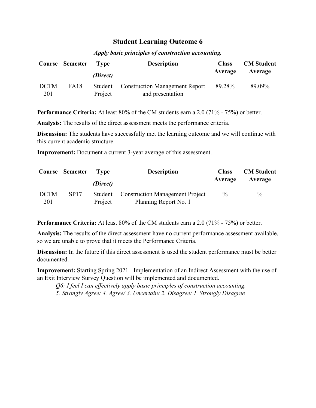|                    | <b>Course Semester</b> | T vpe<br>(Direct)  | <b>Description</b>                                        | <b>Class</b><br>Average | <b>CM</b> Student<br>Average |
|--------------------|------------------------|--------------------|-----------------------------------------------------------|-------------------------|------------------------------|
| <b>DCTM</b><br>201 | FA18                   | Student<br>Project | <b>Construction Management Report</b><br>and presentation | 89.28%                  | 89.09%                       |

#### *Apply basic principles of construction accounting.*

**Performance Criteria:** At least 80% of the CM students earn a 2.0 (71% - 75%) or better.

**Analysis:** The results of the direct assessment meets the performance criteria.

**Discussion:** The students have successfully met the learning outcome and we will continue with this current academic structure.

**Improvement:** Document a current 3-year average of this assessment.

|                    | Course Semester | T Type   | <b>Description</b>                                               | <b>Class</b>  | <b>CM</b> Student |
|--------------------|-----------------|----------|------------------------------------------------------------------|---------------|-------------------|
|                    |                 | (Direct) |                                                                  | Average       | Average           |
| <b>DCTM</b><br>201 | SP17            | Project  | Student Construction Management Project<br>Planning Report No. 1 | $\frac{0}{0}$ | $\%$              |

**Performance Criteria:** At least 80% of the CM students earn a 2.0 (71% - 75%) or better.

**Analysis:** The results of the direct assessment have no current performance assessment available, so we are unable to prove that it meets the Performance Criteria.

**Discussion:** In the future if this direct assessment is used the student performance must be better documented.

**Improvement:** Starting Spring 2021 - Implementation of an Indirect Assessment with the use of an Exit Interview Survey Question will be implemented and documented.

*Q6: I feel I can effectively apply basic principles of construction accounting. 5. Strongly Agree/ 4. Agree/ 3. Uncertain/ 2. Disagree/ 1. Strongly Disagree*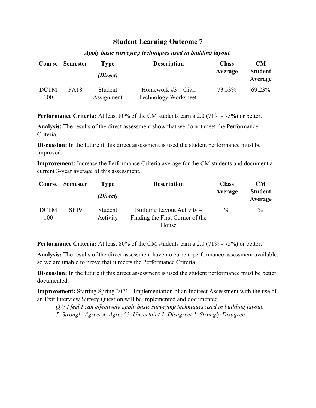|                    | Course Semester | Type                  | <b>Description</b>                             | <b>Class</b> | <b>CM</b>                 |
|--------------------|-----------------|-----------------------|------------------------------------------------|--------------|---------------------------|
|                    |                 | (Direct)              |                                                | Average      | <b>Student</b><br>Average |
| <b>DCTM</b><br>100 | <b>FA18</b>     | Student<br>Assignment | Homework $#3 - Civil$<br>Technology Worksheet. | 73.53%       | 69.23%                    |

#### *Apply basic surveying techniques used in building layout.*

**Performance Criteria:** At least 80% of the CM students earn a 2.0 (71% - 75%) or better.

**Analysis:** The results of the direct assessment show that we do not meet the Performance Criteria.

**Discussion:** In the future if this direct assessment is used the student performance must be improved.

**Improvement:** Increase the Performance Criteria average for the CM students and document a current 3-year average of this assessment.

| Course             | <b>Semester</b> | Type<br>(Direct)    | <b>Description</b>                                                     | <b>Class</b><br>Average | <b>CM</b><br><b>Student</b><br>Average |
|--------------------|-----------------|---------------------|------------------------------------------------------------------------|-------------------------|----------------------------------------|
| <b>DCTM</b><br>100 | <b>SP19</b>     | Student<br>Activity | Building Layout Activity –<br>Finding the First Corner of the<br>House | $\frac{0}{0}$           | $\%$                                   |

**Performance Criteria:** At least 80% of the CM students earn a 2.0 (71% - 75%) or better.

**Analysis:** The results of the direct assessment have no current performance assessment available, so we are unable to prove that it meets the Performance Criteria.

**Discussion:** In the future if this direct assessment is used the student performance must be better documented.

**Improvement:** Starting Spring 2021 - Implementation of an Indirect Assessment with the use of an Exit Interview Survey Question will be implemented and documented.

*Q7: I feel I can effectively apply basic surveying techniques used in building layout. 5. Strongly Agree/ 4. Agree/ 3. Uncertain/ 2. Disagree/ 1. Strongly Disagree*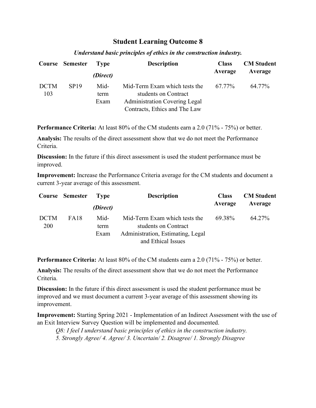|                    | Course Semester | Type                 | <b>Description</b>                                                                                                             | <b>Class</b> | <b>CM</b> Student |
|--------------------|-----------------|----------------------|--------------------------------------------------------------------------------------------------------------------------------|--------------|-------------------|
|                    |                 | (Direct)             |                                                                                                                                | Average      | Average           |
| <b>DCTM</b><br>103 | SP19            | Mid-<br>term<br>Exam | Mid-Term Exam which tests the<br>students on Contract<br><b>Administration Covering Legal</b><br>Contracts, Ethics and The Law | 67.77%       | 64.77%            |

#### *Understand basic principles of ethics in the construction industry.*

**Performance Criteria:** At least 80% of the CM students earn a 2.0 (71% - 75%) or better.

**Analysis:** The results of the direct assessment show that we do not meet the Performance Criteria.

**Discussion:** In the future if this direct assessment is used the student performance must be improved.

**Improvement:** Increase the Performance Criteria average for the CM students and document a current 3-year average of this assessment.

|                           | Course Semester | <b>Type</b>          | <b>Description</b>                                                                                               | <b>Class</b> | <b>CM</b> Student |
|---------------------------|-----------------|----------------------|------------------------------------------------------------------------------------------------------------------|--------------|-------------------|
|                           |                 | (Direct)             |                                                                                                                  | Average      | Average           |
| <b>DCTM</b><br><b>200</b> | <b>FA18</b>     | Mid-<br>term<br>Exam | Mid-Term Exam which tests the<br>students on Contract<br>Administration, Estimating, Legal<br>and Ethical Issues | 69.38%       | 64.27%            |

**Performance Criteria:** At least 80% of the CM students earn a 2.0 (71% - 75%) or better.

**Analysis:** The results of the direct assessment show that we do not meet the Performance Criteria.

**Discussion:** In the future if this direct assessment is used the student performance must be improved and we must document a current 3-year average of this assessment showing its improvement.

**Improvement:** Starting Spring 2021 - Implementation of an Indirect Assessment with the use of an Exit Interview Survey Question will be implemented and documented.

*Q8: I feel I understand basic principles of ethics in the construction industry. 5. Strongly Agree/ 4. Agree/ 3. Uncertain/ 2. Disagree/ 1. Strongly Disagree*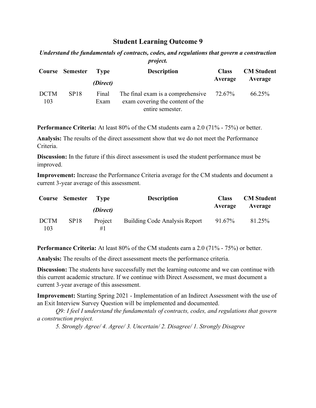*Understand the fundamentals of contracts, codes, and regulations that govern a construction project.*

|                    | <b>Course Semester</b> | Type          | <b>Description</b>                                                                                  | <b>Class</b><br>Average | <b>CM</b> Student<br>Average |
|--------------------|------------------------|---------------|-----------------------------------------------------------------------------------------------------|-------------------------|------------------------------|
|                    |                        | (Direct)      |                                                                                                     |                         |                              |
| <b>DCTM</b><br>103 | <b>SP18</b>            | Final<br>Exam | The final exam is a comprehensive $72.67\%$<br>exam covering the content of the<br>entire semester. |                         | 66.25%                       |

**Performance Criteria:** At least 80% of the CM students earn a 2.0 (71% - 75%) or better.

**Analysis:** The results of the direct assessment show that we do not meet the Performance Criteria.

**Discussion:** In the future if this direct assessment is used the student performance must be improved.

**Improvement:** Increase the Performance Criteria average for the CM students and document a current 3-year average of this assessment.

|                    | Course Semester | T vpe         | <b>Description</b>            | <b>Class</b> | <b>CM</b> Student |
|--------------------|-----------------|---------------|-------------------------------|--------------|-------------------|
|                    |                 | (Direct)      |                               | Average      | Average           |
| <b>DCTM</b><br>103 | SP18            | Project<br>#1 | Building Code Analysis Report | 91.67%       | 81.25%            |

**Performance Criteria:** At least 80% of the CM students earn a 2.0 (71% - 75%) or better.

**Analysis:** The results of the direct assessment meets the performance criteria.

**Discussion:** The students have successfully met the learning outcome and we can continue with this current academic structure. If we continue with Direct Assessment, we must document a current 3-year average of this assessment.

**Improvement:** Starting Spring 2021 - Implementation of an Indirect Assessment with the use of an Exit Interview Survey Question will be implemented and documented.

*Q9: I feel I understand the fundamentals of contracts, codes, and regulations that govern a construction project.*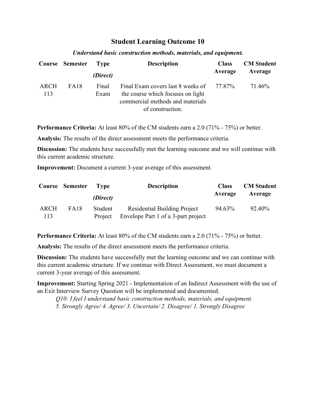|             | Course Semester | 'Type         | <b>Description</b>                                                                                                                    | <b>Class</b> | <b>CM</b> Student |
|-------------|-----------------|---------------|---------------------------------------------------------------------------------------------------------------------------------------|--------------|-------------------|
|             |                 | (Direct)      |                                                                                                                                       | Average      | Average           |
| ARCH<br>113 | <b>FA18</b>     | Final<br>Exam | Final Exam covers last 8 weeks of 77.87%<br>the course which focuses on light<br>commercial methods and materials<br>of construction. |              | 71.46%            |

#### *Understand basic construction methods, materials, and equipment.*

**Performance Criteria:** At least 80% of the CM students earn a 2.0 (71% - 75%) or better.

**Analysis:** The results of the direct assessment meets the performance criteria.

**Discussion:** The students have successfully met the learning outcome and we will continue with this current academic structure.

**Improvement:** Document a current 3-year average of this assessment.

|                    | <b>Course Semester</b> | Tvpe               | <b>Description</b>                                                         | <b>Class</b> | <b>CM</b> Student |
|--------------------|------------------------|--------------------|----------------------------------------------------------------------------|--------------|-------------------|
|                    |                        | (Direct)           |                                                                            | Average      | Average           |
| <b>ARCH</b><br>113 | <b>FA18</b>            | Student<br>Project | <b>Residential Building Project</b><br>Envelope Part 1 of a 3-part project | 94.63%       | 92.40%            |

**Performance Criteria:** At least 80% of the CM students earn a 2.0 (71% - 75%) or better.

**Analysis:** The results of the direct assessment meets the performance criteria.

**Discussion:** The students have successfully met the learning outcome and we can continue with this current academic structure. If we continue with Direct Assessment, we must document a current 3-year average of this assessment.

**Improvement:** Starting Spring 2021 - Implementation of an Indirect Assessment with the use of an Exit Interview Survey Question will be implemented and documented.

*Q10: I feel I understand basic construction methods, materials, and equipment. 5. Strongly Agree/ 4. Agree/ 3. Uncertain/ 2. Disagree/ 1. Strongly Disagree*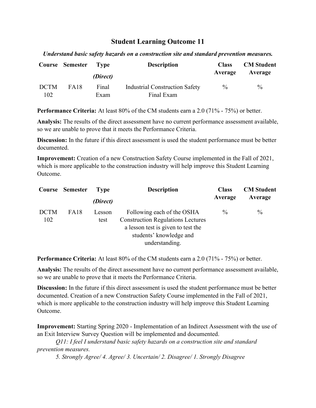*Understand basic safety hazards on a construction site and standard prevention measures.*

|                    | Course Semester Type | (Direct)      | <b>Description</b>                                  | <b>Class</b><br>Average | <b>CM</b> Student<br>Average |
|--------------------|----------------------|---------------|-----------------------------------------------------|-------------------------|------------------------------|
| <b>DCTM</b><br>102 | <b>FA18</b>          | Final<br>Exam | <b>Industrial Construction Safety</b><br>Final Exam | $\frac{0}{0}$           | $\%$                         |

**Performance Criteria:** At least 80% of the CM students earn a 2.0 (71% - 75%) or better.

**Analysis:** The results of the direct assessment have no current performance assessment available, so we are unable to prove that it meets the Performance Criteria.

**Discussion:** In the future if this direct assessment is used the student performance must be better documented.

**Improvement:** Creation of a new Construction Safety Course implemented in the Fall of 2021, which is more applicable to the construction industry will help improve this Student Learning Outcome.

|                    | Course Semester | <b>Type</b>    | <b>Description</b>                                                                                                                                        | <b>Class</b>  | <b>CM</b> Student |
|--------------------|-----------------|----------------|-----------------------------------------------------------------------------------------------------------------------------------------------------------|---------------|-------------------|
|                    |                 | (Direct)       |                                                                                                                                                           | Average       | Average           |
| <b>DCTM</b><br>102 | FA18            | Lesson<br>test | Following each of the OSHA<br><b>Construction Regulations Lectures</b><br>a lesson test is given to test the<br>students' knowledge and<br>understanding. | $\frac{0}{0}$ | $\frac{0}{0}$     |

**Performance Criteria:** At least 80% of the CM students earn a 2.0 (71% - 75%) or better.

**Analysis:** The results of the direct assessment have no current performance assessment available, so we are unable to prove that it meets the Performance Criteria.

**Discussion:** In the future if this direct assessment is used the student performance must be better documented. Creation of a new Construction Safety Course implemented in the Fall of 2021, which is more applicable to the construction industry will help improve this Student Learning Outcome.

**Improvement:** Starting Spring 2020 - Implementation of an Indirect Assessment with the use of an Exit Interview Survey Question will be implemented and documented.

*Q11: I feel I understand basic safety hazards on a construction site and standard prevention measures.*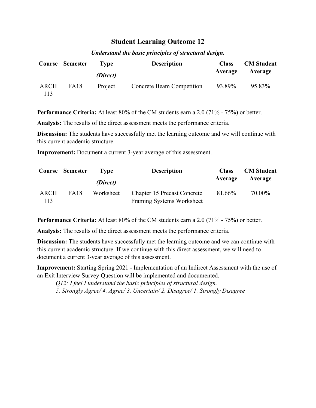|             | Course Semester | Tvpe<br>(Direct) | <b>Description</b>        | <b>Class</b><br>Average | <b>CM</b> Student<br>Average |
|-------------|-----------------|------------------|---------------------------|-------------------------|------------------------------|
| ARCH<br>113 | FA18            | Project          | Concrete Beam Competition | 93.89%                  | 95.83%                       |

#### *Understand the basic principles of structural design.*

**Performance Criteria:** At least 80% of the CM students earn a 2.0 (71% - 75%) or better.

**Analysis:** The results of the direct assessment meets the performance criteria.

**Discussion:** The students have successfully met the learning outcome and we will continue with this current academic structure.

**Improvement:** Document a current 3-year average of this assessment.

|             | Course Semester | Type      | <b>Description</b>                                              | <b>Class</b> | <b>CM</b> Student |
|-------------|-----------------|-----------|-----------------------------------------------------------------|--------------|-------------------|
|             |                 | (Direct)  |                                                                 | Average      | Average           |
| ARCH<br>113 | <b>FA18</b>     | Worksheet | <b>Chapter 15 Precast Concrete</b><br>Framing Systems Worksheet | 81.66%       | 70.00%            |

**Performance Criteria:** At least 80% of the CM students earn a 2.0 (71% - 75%) or better.

**Analysis:** The results of the direct assessment meets the performance criteria.

**Discussion:** The students have successfully met the learning outcome and we can continue with this current academic structure. If we continue with this direct assessment, we will need to document a current 3-year average of this assessment.

**Improvement:** Starting Spring 2021 - Implementation of an Indirect Assessment with the use of an Exit Interview Survey Question will be implemented and documented.

*Q12: I feel I understand the basic principles of structural design. 5. Strongly Agree/ 4. Agree/ 3. Uncertain/ 2. Disagree/ 1. Strongly Disagree*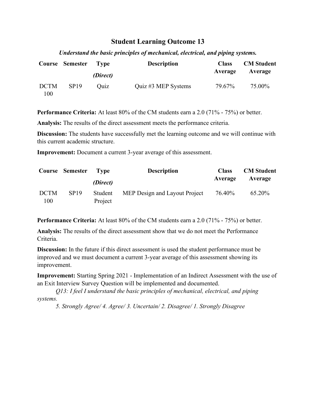*Understand the basic principles of mechanical, electrical, and piping systems.*

|                    | Course Semester Type | (Direct) | <b>Description</b>  | <b>Class</b><br>Average | <b>CM</b> Student<br>Average |
|--------------------|----------------------|----------|---------------------|-------------------------|------------------------------|
| <b>DCTM</b><br>100 | SP19                 | Ouiz     | Quiz #3 MEP Systems | 79.67%                  | 75.00%                       |

**Performance Criteria:** At least 80% of the CM students earn a 2.0 (71% - 75%) or better.

**Analysis:** The results of the direct assessment meets the performance criteria.

**Discussion:** The students have successfully met the learning outcome and we will continue with this current academic structure.

**Improvement:** Document a current 3-year average of this assessment.

|                    | <b>Course Semester</b> | T vpe              | <b>Description</b>            | <b>Class</b> | <b>CM</b> Student |
|--------------------|------------------------|--------------------|-------------------------------|--------------|-------------------|
|                    |                        | (Direct)           |                               | Average      | Average           |
| <b>DCTM</b><br>100 | SP <sub>19</sub>       | Student<br>Project | MEP Design and Layout Project | 76.40%       | 65.20%            |

**Performance Criteria:** At least 80% of the CM students earn a 2.0 (71% - 75%) or better.

**Analysis:** The results of the direct assessment show that we do not meet the Performance Criteria.

**Discussion:** In the future if this direct assessment is used the student performance must be improved and we must document a current 3-year average of this assessment showing its improvement.

**Improvement:** Starting Spring 2021 - Implementation of an Indirect Assessment with the use of an Exit Interview Survey Question will be implemented and documented.

*Q13: I feel I understand the basic principles of mechanical, electrical, and piping systems.*